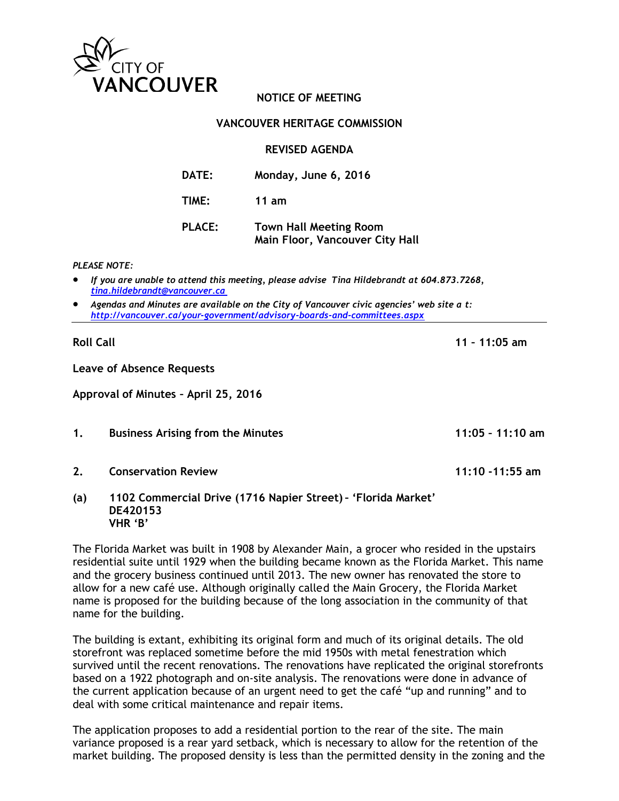

# **NOTICE OF MEETING**

### **VANCOUVER HERITAGE COMMISSION**

**REVISED AGENDA**

**Main Floor, Vancouver City Hall**

| <b>DATE:</b>  | Monday, June 6, 2016          |
|---------------|-------------------------------|
| TIME:         | 11 $am$                       |
| <b>PLACE:</b> | <b>Town Hall Meeting Room</b> |

*PLEASE NOTE:*

- *If you are unable to attend this meeting, please advise Tina Hildebrandt at 604.873.7268, [tina.hildebrandt@vancouver.ca](mailto:tina.hildebrandt@vancouver.ca)*
- *Agendas and Minutes are available on the City of Vancouver civic agencies' web site a t: <http://vancouver.ca/your-government/advisory-boards-and-committees.aspx>*

**Roll Call 11 – 11:05 am**

**Leave of Absence Requests**

**Approval of Minutes – April 25, 2016**

**1. Business Arising from the Minutes 11:05 – 11:10 am**

**2. Conservation Review 11:10 -11:55 am**

**(a) 1102 Commercial Drive (1716 Napier Street) – 'Florida Market' DE420153 VHR 'B'**

The Florida Market was built in 1908 by Alexander Main, a grocer who resided in the upstairs residential suite until 1929 when the building became known as the Florida Market. This name and the grocery business continued until 2013. The new owner has renovated the store to allow for a new café use. Although originally called the Main Grocery, the Florida Market name is proposed for the building because of the long association in the community of that name for the building.

The building is extant, exhibiting its original form and much of its original details. The old storefront was replaced sometime before the mid 1950s with metal fenestration which survived until the recent renovations. The renovations have replicated the original storefronts based on a 1922 photograph and on-site analysis. The renovations were done in advance of the current application because of an urgent need to get the café "up and running" and to deal with some critical maintenance and repair items.

The application proposes to add a residential portion to the rear of the site. The main variance proposed is a rear yard setback, which is necessary to allow for the retention of the market building. The proposed density is less than the permitted density in the zoning and the